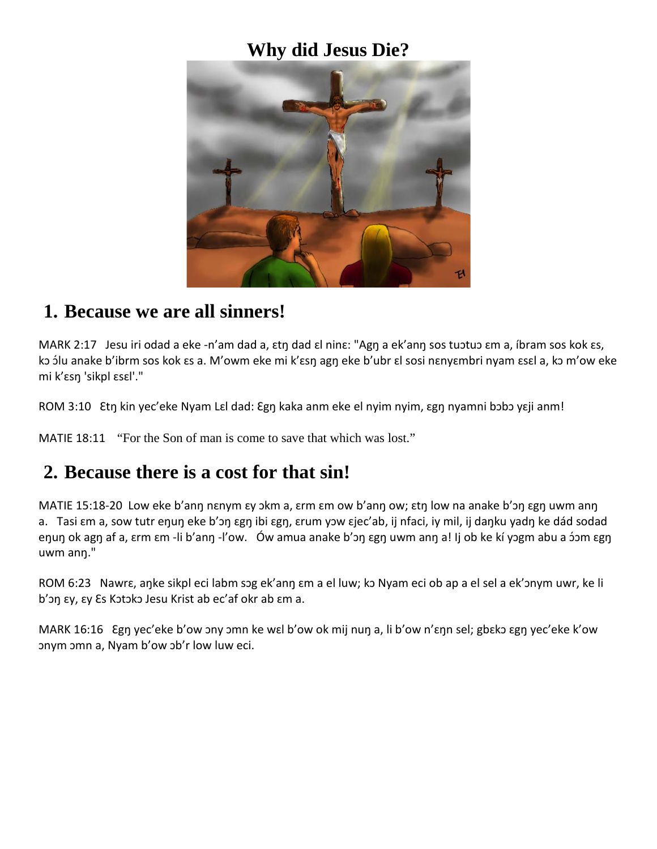### **Why did Jesus Die?**



#### **1. Because we are all sinners!**

MARK 2:17 Jesu iri odad a eke -n'am dad a, ɛtŋ dad ɛl ninɛ: "Agŋ a ek'anŋ sos tuɔtuɔ ɛm a, íbram sos kok ɛs, kɔ ɔ́lu anake b'ibrm sos kok ɛs a. M'owm eke mi k'ɛsŋ agŋ eke b'ubr ɛl sosi nɛnyɛmbri nyam ɛsɛl a, kɔ m'ow eke mi k'ɛsŋ 'sikpl ɛsɛl'."

ROM 3:10 Etn kin yec'eke Nyam Lɛl dad: Egn kaka anm eke el nyim nyim, ɛgn nyamni bɔbɔ yɛji anm!

MATIE 18:11 "For the Son of man is come to save that which was lost."

## **2. Because there is a cost for that sin!**

MATIE 15:18-20 Low eke b'anŋ nɛnym ɛy ɔkm a, ɛrm ɛm ow b'anŋ ow; ɛtŋ low na anake b'ɔŋ ɛgŋ uwm anŋ a. Tasi ɛm a, sow tutr eŋuŋ eke b'ɔŋ ɛgŋ ibi ɛgŋ, ɛrum yɔw ɛjec'ab, ij nfaci, iy mil, ij daŋku yadŋ ke dád sodad eŋuŋ ok agŋ af a, ɛrm ɛm -li b'anŋ -l'ow. Ów amua anake b'ɔŋ ɛgŋ uwm anŋ a! Ij ob ke kí yɔgm abu a ɔ́ɔm ɛgŋ uwm anŋ."

ROM 6:23 Nawrɛ, aŋke sikpl eci labm sɔg ek'anŋ ɛm a el luw; kɔ Nyam eci ob ap a el sel a ek'ɔnym uwr, ke li b'ɔŋ ɛy, ɛy Ɛs Kɔtɔkɔ Jesu Krist ab ec'af okr ab ɛm a.

MARK 16:16 Ɛgŋ yec'eke b'ow ɔny ɔmn ke wɛl b'ow ok mij nuŋ a, li b'ow n'ɛŋn sel; gbɛkɔ ɛgŋ yec'eke k'ow ɔnym ɔmn a, Nyam b'ow ɔb'r low luw eci.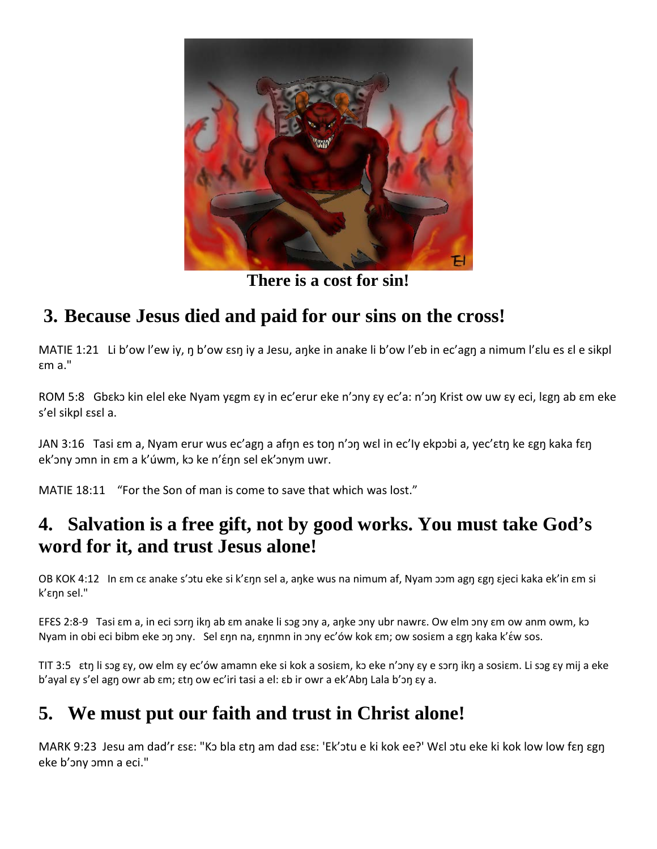

**There is a cost for sin!**

# **3. Because Jesus died and paid for our sins on the cross!**

MATIE 1:21 Li b'ow l'ew iy, ŋ b'ow ɛsŋ iy a Jesu, aŋke in anake li b'ow l'eb in ec'agŋ a nimum l'ɛlu es ɛl e sikpl ɛm a."

ROM 5:8 Gbεkɔ kin elel eke Nyam yεgm εy in ec'erur eke n'ɔny εy ec'a: n'ɔŋ Krist ow uw εy eci, lɛgŋ ab ɛm eke s'el sikpl ɛsɛl a.

JAN 3:16 Tasi ɛm a, Nyam erur wus ec'agn a afnn es ton n'ɔn wɛl in ec'ly ekpɔbi a, yec'ɛtn ke ɛgn kaka fɛn ek' ony ɔmn in εm a k' úwm, kɔ ke n' έη n sel ek' onym uwr.

MATIE 18:11 "For the Son of man is come to save that which was lost."

## **4. Salvation is a free gift, not by good works. You must take God's word for it, and trust Jesus alone!**

OB KOK 4:12 In ɛm cɛ anake s'ɔtu eke si k'ɛŋn sel a, aŋke wus na nimum af, Nyam ɔɔm agŋ ɛgŋ ɛjeci kaka ek'in ɛm si k'ɛŋn sel."

EFES 2:8-9 Tasi ɛm a, in eci sɔrŋ ikŋ ab ɛm anake li sɔg ɔny a, aŋke ɔny ubr nawrɛ. Ow elm ɔny ɛm ow anm owm, kɔ Nyam in obi eci bibm eke ɔŋ ɔny. Sel ɛŋn na, ɛŋnmn in ɔny ec'ów kok ɛm; ow sosiɛm a ɛgŋ kaka k'ɛ́w sos.

TIT 3:5 ɛtŋ li sɔg ɛy, ow elm ɛy ec'ów amamn eke si kok a sosiɛm, kɔ eke n'ɔny ɛy e sɔrŋ ikŋ a sosiɛm. Li sɔg ɛy mij a eke b'ayal ɛy s'el agŋ owr ab ɛm; ɛtŋ ow ec'iri tasi a el: ɛb ir owr a ek'Abŋ Lala b'ɔŋ ɛy a.

## **5. We must put our faith and trust in Christ alone!**

MARK 9:23 Jesu am dad'r ɛsɛ: "Kɔ bla ɛtŋ am dad ɛsɛ: 'Ek'ɔtu e ki kok ee?' Wɛl ɔtu eke ki kok low low fɛŋ ɛgŋ eke b'ɔny ɔmn a eci."